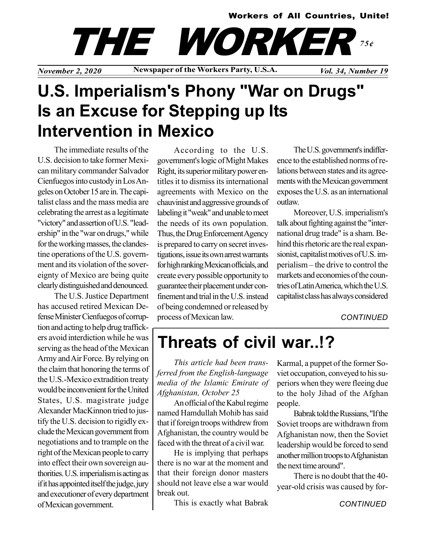#### Workers of All Countries, Unite!



November 2, 2020 Newspaper of the Workers Party, U.S.A. Vol. 34, Number 19

# U.S. Imperialism's Phony "War on Drugs" Is an Excuse for Stepping up Its Intervention in Mexico

The immediate results of the U.S. decision to take former Mexican military commander Salvador Cienfuegos into custody in Los Angeles on October 15 are in. The capitalist class and the mass media are celebrating the arrest as a legitimate "victory" and assertion of U.S. "leadership" in the "war on drugs," while for the working masses, the clandestine operations of the U.S. government and its violation of the sovereignty of Mexico are being quite clearly distinguished and denounced.

The U.S. Justice Department has accused retired Mexican Defense Minister Cienfuegos of corruption and acting to help drug traffickers avoid interdiction while he was serving as the head of the Mexican Army and Air Force. By relying on the claim that honoring the terms of the U.S.-Mexico extradition treaty would be inconvenient for the United States, U.S. magistrate judge Alexander MacKinnon tried to justify the U.S. decision to rigidly exclude the Mexican government from negotiations and to trample on the right of the Mexican people to carry into effect their own sovereign authorities. U.S. imperialism is acting as if it has appointed itself the judge, jury and executioner of every department of Mexican government.

According to the U.S. government's logic of Might Makes Right, its superior military power entitles it to dismiss its international agreements with Mexico on the chauvinist and aggressive grounds of labeling it "weak" and unable to meet the needs of its own population. Thus, the Drug Enforcement Agency is prepared to carry on secret investigations, issue its own arrest warrants for high ranking Mexican officials, and create every possible opportunity to guarantee their placement under confinement and trial in the U.S. instead of being condemned or released by process of Mexican law.

The U.S. government's indifference to the established norms of relations between states and its agreements with the Mexican government exposes the U.S. as an international outlaw.

Moreover, U.S. imperialism's talk about fighting against the "international drug trade" is a sham. Behind this rhetoric are the real expansionist, capitalist motives of U.S. imperialism – the drive to control the markets and economies of the countries of Latin America, which the U.S. capitalist class has always considered

**CONTINUED** 

## Threats of civil war..!?

This article had been transferred from the English-language media of the Islamic Emirate of Afghanistan, October 25

An official of the Kabul regime named Hamdullah Mohib has said that if foreign troops withdrew from Afghanistan, the country would be faced with the threat of a civil war.

He is implying that perhaps there is no war at the moment and that their foreign donor masters should not leave else a war would break out.

This is exactly what Babrak

Karmal, a puppet of the former Soviet occupation, conveyed to his superiors when they were fleeing due to the holy Jihad of the Afghan people.

Babrak told the Russians, "If the Soviet troops are withdrawn from Afghanistan now, then the Soviet leadership would be forced to send another million troops to Afghanistan the next time around".

There is no doubt that the 40 year-old crisis was caused by for-